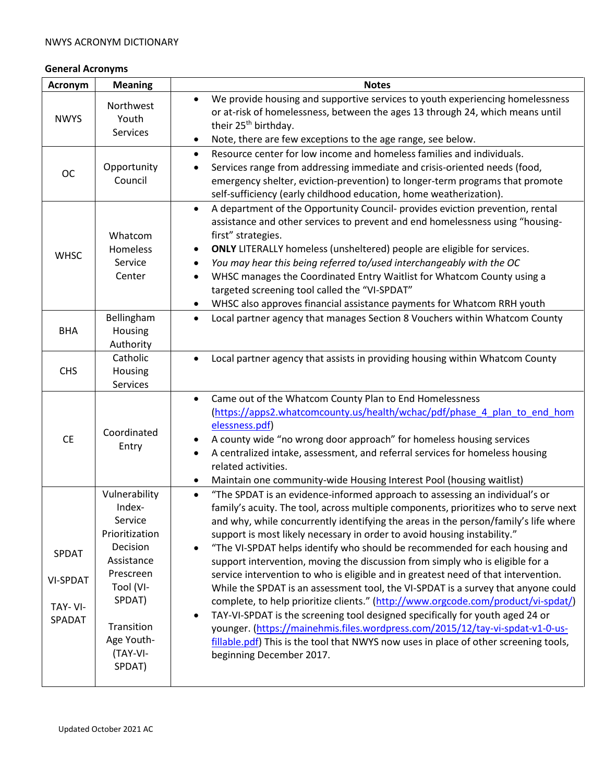## **General Acronyms**

| Acronym                                       | <b>Meaning</b>                                                                                                                                                       | <b>Notes</b>                                                                                                                                                                                                                                                                                                                                                                                                                                                                                                                                                                                                                                                                                                                                                                                                                                                                                                                                                                                                                                                              |  |
|-----------------------------------------------|----------------------------------------------------------------------------------------------------------------------------------------------------------------------|---------------------------------------------------------------------------------------------------------------------------------------------------------------------------------------------------------------------------------------------------------------------------------------------------------------------------------------------------------------------------------------------------------------------------------------------------------------------------------------------------------------------------------------------------------------------------------------------------------------------------------------------------------------------------------------------------------------------------------------------------------------------------------------------------------------------------------------------------------------------------------------------------------------------------------------------------------------------------------------------------------------------------------------------------------------------------|--|
| <b>NWYS</b>                                   | Northwest<br>Youth<br><b>Services</b>                                                                                                                                | We provide housing and supportive services to youth experiencing homelessness<br>$\bullet$<br>or at-risk of homelessness, between the ages 13 through 24, which means until<br>their 25 <sup>th</sup> birthday.<br>Note, there are few exceptions to the age range, see below.<br>$\bullet$                                                                                                                                                                                                                                                                                                                                                                                                                                                                                                                                                                                                                                                                                                                                                                               |  |
| <b>OC</b>                                     | Opportunity<br>Council                                                                                                                                               | Resource center for low income and homeless families and individuals.<br>$\bullet$<br>Services range from addressing immediate and crisis-oriented needs (food,<br>$\bullet$<br>emergency shelter, eviction-prevention) to longer-term programs that promote<br>self-sufficiency (early childhood education, home weatherization).                                                                                                                                                                                                                                                                                                                                                                                                                                                                                                                                                                                                                                                                                                                                        |  |
| <b>WHSC</b>                                   | Whatcom<br>Homeless<br>Service<br>Center                                                                                                                             | A department of the Opportunity Council- provides eviction prevention, rental<br>$\bullet$<br>assistance and other services to prevent and end homelessness using "housing-<br>first" strategies.<br><b>ONLY</b> LITERALLY homeless (unsheltered) people are eligible for services.<br>You may hear this being referred to/used interchangeably with the OC<br>$\bullet$<br>WHSC manages the Coordinated Entry Waitlist for Whatcom County using a<br>$\bullet$<br>targeted screening tool called the "VI-SPDAT"<br>WHSC also approves financial assistance payments for Whatcom RRH youth<br>٠                                                                                                                                                                                                                                                                                                                                                                                                                                                                           |  |
| <b>BHA</b>                                    | Bellingham<br>Housing<br>Authority                                                                                                                                   | Local partner agency that manages Section 8 Vouchers within Whatcom County<br>$\bullet$                                                                                                                                                                                                                                                                                                                                                                                                                                                                                                                                                                                                                                                                                                                                                                                                                                                                                                                                                                                   |  |
| <b>CHS</b>                                    | Catholic<br>Housing<br>Services                                                                                                                                      | Local partner agency that assists in providing housing within Whatcom County                                                                                                                                                                                                                                                                                                                                                                                                                                                                                                                                                                                                                                                                                                                                                                                                                                                                                                                                                                                              |  |
| <b>CE</b>                                     | Coordinated<br>Entry                                                                                                                                                 | Came out of the Whatcom County Plan to End Homelessness<br>$\bullet$<br>(https://apps2.whatcomcounty.us/health/wchac/pdf/phase 4 plan to end hom<br>elessness.pdf)<br>A county wide "no wrong door approach" for homeless housing services<br>A centralized intake, assessment, and referral services for homeless housing<br>$\bullet$<br>related activities.<br>Maintain one community-wide Housing Interest Pool (housing waitlist)<br>٠                                                                                                                                                                                                                                                                                                                                                                                                                                                                                                                                                                                                                               |  |
| SPDAT<br><b>VI-SPDAT</b><br>TAY-VI-<br>SPADAT | Vulnerability<br>Index-<br>Service<br>Prioritization<br>Decision<br>Assistance<br>Prescreen<br>Tool (VI-<br>SPDAT)<br>Transition<br>Age Youth-<br>(TAY-VI-<br>SPDAT) | "The SPDAT is an evidence-informed approach to assessing an individual's or<br>$\bullet$<br>family's acuity. The tool, across multiple components, prioritizes who to serve next<br>and why, while concurrently identifying the areas in the person/family's life where<br>support is most likely necessary in order to avoid housing instability."<br>"The VI-SPDAT helps identify who should be recommended for each housing and<br>support intervention, moving the discussion from simply who is eligible for a<br>service intervention to who is eligible and in greatest need of that intervention.<br>While the SPDAT is an assessment tool, the VI-SPDAT is a survey that anyone could<br>complete, to help prioritize clients." (http://www.orgcode.com/product/vi-spdat/)<br>TAY-VI-SPDAT is the screening tool designed specifically for youth aged 24 or<br>younger. (https://mainehmis.files.wordpress.com/2015/12/tay-vi-spdat-v1-0-us-<br>fillable.pdf) This is the tool that NWYS now uses in place of other screening tools,<br>beginning December 2017. |  |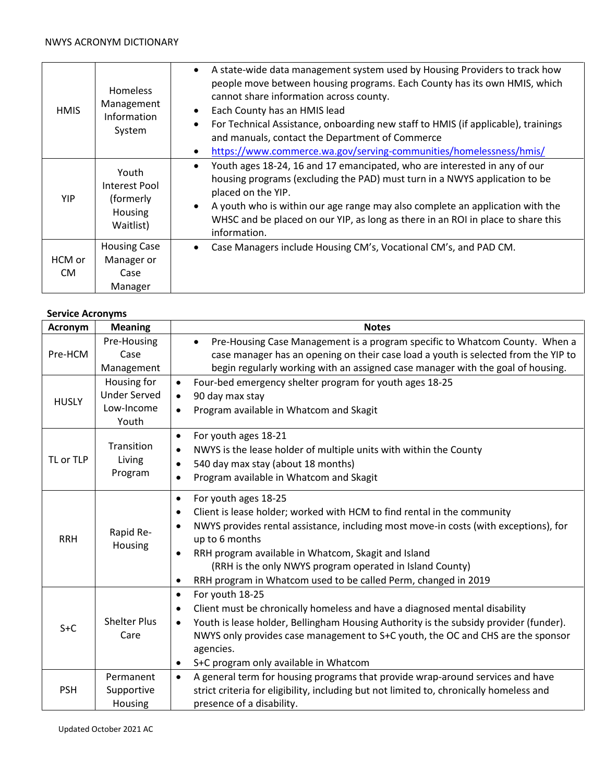#### NWYS ACRONYM DICTIONARY

| <b>HMIS</b>   | <b>Homeless</b><br>Management<br>Information<br>System      | A state-wide data management system used by Housing Providers to track how<br>$\bullet$<br>people move between housing programs. Each County has its own HMIS, which<br>cannot share information across county.<br>Each County has an HMIS lead<br>For Technical Assistance, onboarding new staff to HMIS (if applicable), trainings<br>and manuals, contact the Department of Commerce<br>https://www.commerce.wa.gov/serving-communities/homelessness/hmis/<br>$\bullet$ |
|---------------|-------------------------------------------------------------|----------------------------------------------------------------------------------------------------------------------------------------------------------------------------------------------------------------------------------------------------------------------------------------------------------------------------------------------------------------------------------------------------------------------------------------------------------------------------|
| <b>YIP</b>    | Youth<br>Interest Pool<br>(formerly<br>Housing<br>Waitlist) | Youth ages 18-24, 16 and 17 emancipated, who are interested in any of our<br>$\bullet$<br>housing programs (excluding the PAD) must turn in a NWYS application to be<br>placed on the YIP.<br>A youth who is within our age range may also complete an application with the<br>WHSC and be placed on our YIP, as long as there in an ROI in place to share this<br>information.                                                                                            |
| HCM or<br>CM. | <b>Housing Case</b><br>Manager or<br>Case<br>Manager        | Case Managers include Housing CM's, Vocational CM's, and PAD CM.<br>٠                                                                                                                                                                                                                                                                                                                                                                                                      |

### **Service Acronyms**

| Acronym      | <b>Meaning</b>                                            | <b>Notes</b>                                                                                                                                                                                                                                                                                                                                                                                                |  |
|--------------|-----------------------------------------------------------|-------------------------------------------------------------------------------------------------------------------------------------------------------------------------------------------------------------------------------------------------------------------------------------------------------------------------------------------------------------------------------------------------------------|--|
| Pre-HCM      | Pre-Housing<br>Case<br>Management                         | Pre-Housing Case Management is a program specific to Whatcom County. When a<br>$\bullet$<br>case manager has an opening on their case load a youth is selected from the YIP to<br>begin regularly working with an assigned case manager with the goal of housing.                                                                                                                                           |  |
| <b>HUSLY</b> | Housing for<br><b>Under Served</b><br>Low-Income<br>Youth | Four-bed emergency shelter program for youth ages 18-25<br>$\bullet$<br>90 day max stay<br>$\bullet$<br>Program available in Whatcom and Skagit<br>$\bullet$                                                                                                                                                                                                                                                |  |
| TL or TLP    | Transition<br>Living<br>Program                           | For youth ages 18-21<br>$\bullet$<br>NWYS is the lease holder of multiple units with within the County<br>540 day max stay (about 18 months)<br>$\bullet$<br>Program available in Whatcom and Skagit                                                                                                                                                                                                        |  |
| <b>RRH</b>   | Rapid Re-<br>Housing                                      | For youth ages 18-25<br>$\bullet$<br>Client is lease holder; worked with HCM to find rental in the community<br>NWYS provides rental assistance, including most move-in costs (with exceptions), for<br>up to 6 months<br>RRH program available in Whatcom, Skagit and Island<br>(RRH is the only NWYS program operated in Island County)<br>RRH program in Whatcom used to be called Perm, changed in 2019 |  |
| $S + C$      | <b>Shelter Plus</b><br>Care                               | For youth 18-25<br>$\bullet$<br>Client must be chronically homeless and have a diagnosed mental disability<br>Youth is lease holder, Bellingham Housing Authority is the subsidy provider (funder).<br>$\bullet$<br>NWYS only provides case management to S+C youth, the OC and CHS are the sponsor<br>agencies.<br>S+C program only available in Whatcom<br>٠                                              |  |
| <b>PSH</b>   | Permanent<br>Supportive<br>Housing                        | A general term for housing programs that provide wrap-around services and have<br>$\bullet$<br>strict criteria for eligibility, including but not limited to, chronically homeless and<br>presence of a disability.                                                                                                                                                                                         |  |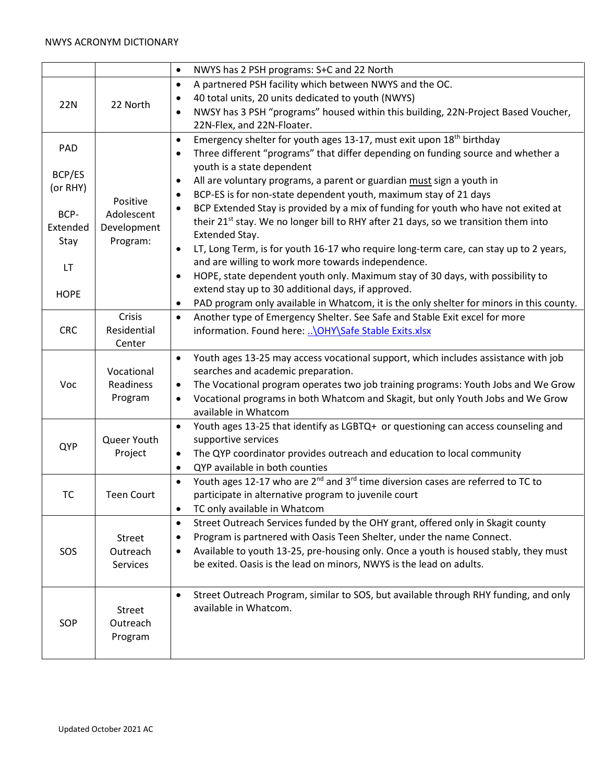#### NWYS ACRONYM DICTIONARY

|             |                    | NWYS has 2 PSH programs: S+C and 22 North<br>$\bullet$                                                                                                             |
|-------------|--------------------|--------------------------------------------------------------------------------------------------------------------------------------------------------------------|
|             |                    | A partnered PSH facility which between NWYS and the OC.<br>$\bullet$                                                                                               |
|             |                    | 40 total units, 20 units dedicated to youth (NWYS)<br>٠                                                                                                            |
| 22N         | 22 North           | NWSY has 3 PSH "programs" housed within this building, 22N-Project Based Voucher,<br>$\bullet$                                                                     |
|             |                    | 22N-Flex, and 22N-Floater.                                                                                                                                         |
|             |                    | Emergency shelter for youth ages 13-17, must exit upon 18 <sup>th</sup> birthday<br>$\bullet$                                                                      |
| PAD         |                    | Three different "programs" that differ depending on funding source and whether a<br>$\bullet$                                                                      |
| BCP/ES      |                    | youth is a state dependent                                                                                                                                         |
| (or RHY)    | Positive           | All are voluntary programs, a parent or guardian must sign a youth in<br>$\bullet$                                                                                 |
|             |                    | BCP-ES is for non-state dependent youth, maximum stay of 21 days<br>$\bullet$                                                                                      |
| BCP-        | Adolescent         | BCP Extended Stay is provided by a mix of funding for youth who have not exited at                                                                                 |
| Extended    | Development        | their 21 <sup>st</sup> stay. We no longer bill to RHY after 21 days, so we transition them into                                                                    |
| Stay        | Program:           | Extended Stay.                                                                                                                                                     |
|             |                    | LT, Long Term, is for youth 16-17 who require long-term care, can stay up to 2 years,<br>$\bullet$                                                                 |
| <b>LT</b>   |                    | and are willing to work more towards independence.                                                                                                                 |
|             |                    | HOPE, state dependent youth only. Maximum stay of 30 days, with possibility to<br>$\bullet$<br>extend stay up to 30 additional days, if approved.                  |
| <b>HOPE</b> |                    | PAD program only available in Whatcom, it is the only shelter for minors in this county.                                                                           |
|             | Crisis             | Another type of Emergency Shelter. See Safe and Stable Exit excel for more<br>$\bullet$                                                                            |
| <b>CRC</b>  | Residential        | information. Found here:  \OHY\Safe Stable Exits.xlsx                                                                                                              |
|             | Center             |                                                                                                                                                                    |
|             |                    | Youth ages 13-25 may access vocational support, which includes assistance with job<br>$\bullet$                                                                    |
|             | Vocational         | searches and academic preparation.                                                                                                                                 |
| Voc         | Readiness          | The Vocational program operates two job training programs: Youth Jobs and We Grow<br>$\bullet$                                                                     |
|             | Program            | Vocational programs in both Whatcom and Skagit, but only Youth Jobs and We Grow<br>$\bullet$                                                                       |
|             |                    | available in Whatcom                                                                                                                                               |
|             |                    | Youth ages 13-25 that identify as LGBTQ+ or questioning can access counseling and<br>$\bullet$                                                                     |
| QYP         | Queer Youth        | supportive services                                                                                                                                                |
|             | Project            | The QYP coordinator provides outreach and education to local community<br>$\bullet$                                                                                |
|             |                    | QYP available in both counties<br>$\bullet$                                                                                                                        |
|             |                    | Youth ages 12-17 who are 2 <sup>nd</sup> and 3 <sup>rd</sup> time diversion cases are referred to TC to<br>$\bullet$                                               |
| <b>TC</b>   | <b>Teen Court</b>  | participate in alternative program to juvenile court                                                                                                               |
|             |                    | TC only available in Whatcom<br>٠                                                                                                                                  |
|             |                    | Street Outreach Services funded by the OHY grant, offered only in Skagit county<br>$\bullet$                                                                       |
|             | Street<br>Outreach | Program is partnered with Oasis Teen Shelter, under the name Connect.<br>٠<br>Available to youth 13-25, pre-housing only. Once a youth is housed stably, they must |
| SOS         | Services           | ٠<br>be exited. Oasis is the lead on minors, NWYS is the lead on adults.                                                                                           |
|             |                    |                                                                                                                                                                    |
|             |                    |                                                                                                                                                                    |
|             |                    | Street Outreach Program, similar to SOS, but available through RHY funding, and only<br>available in Whatcom.                                                      |
|             | Street<br>Outreach |                                                                                                                                                                    |
| SOP         | Program            |                                                                                                                                                                    |
|             |                    |                                                                                                                                                                    |
|             |                    |                                                                                                                                                                    |